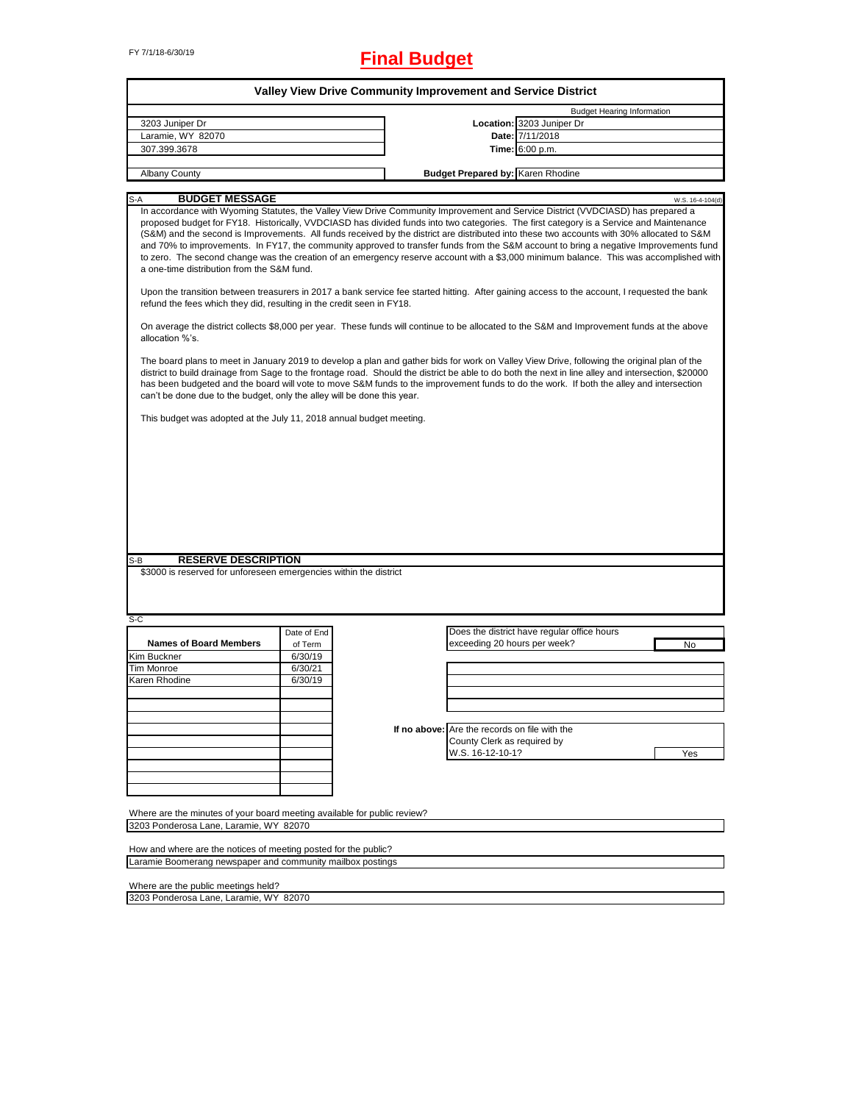# FY 7/1/18-6/30/19 **Final Budget**

|                                                                                                                                                                                                                                                                                                                                                                                                                                                                                                                                                                                                                                                                                                                                                                                                                                                                                                                                                                                                                                                                                                                                                                                                                                                                                                                                                                                                                                                                                                                                                                                                                                                                                                                                                                                                                                                         |             | <b>Valley View Drive Community Improvement and Service District</b> |                                             |  |  |  |
|---------------------------------------------------------------------------------------------------------------------------------------------------------------------------------------------------------------------------------------------------------------------------------------------------------------------------------------------------------------------------------------------------------------------------------------------------------------------------------------------------------------------------------------------------------------------------------------------------------------------------------------------------------------------------------------------------------------------------------------------------------------------------------------------------------------------------------------------------------------------------------------------------------------------------------------------------------------------------------------------------------------------------------------------------------------------------------------------------------------------------------------------------------------------------------------------------------------------------------------------------------------------------------------------------------------------------------------------------------------------------------------------------------------------------------------------------------------------------------------------------------------------------------------------------------------------------------------------------------------------------------------------------------------------------------------------------------------------------------------------------------------------------------------------------------------------------------------------------------|-------------|---------------------------------------------------------------------|---------------------------------------------|--|--|--|
|                                                                                                                                                                                                                                                                                                                                                                                                                                                                                                                                                                                                                                                                                                                                                                                                                                                                                                                                                                                                                                                                                                                                                                                                                                                                                                                                                                                                                                                                                                                                                                                                                                                                                                                                                                                                                                                         |             |                                                                     | <b>Budget Hearing Information</b>           |  |  |  |
| 3203 Juniper Dr                                                                                                                                                                                                                                                                                                                                                                                                                                                                                                                                                                                                                                                                                                                                                                                                                                                                                                                                                                                                                                                                                                                                                                                                                                                                                                                                                                                                                                                                                                                                                                                                                                                                                                                                                                                                                                         |             |                                                                     | Location: 3203 Juniper Dr                   |  |  |  |
| Laramie, WY 82070                                                                                                                                                                                                                                                                                                                                                                                                                                                                                                                                                                                                                                                                                                                                                                                                                                                                                                                                                                                                                                                                                                                                                                                                                                                                                                                                                                                                                                                                                                                                                                                                                                                                                                                                                                                                                                       |             |                                                                     | Date: 7/11/2018                             |  |  |  |
| 307.399.3678                                                                                                                                                                                                                                                                                                                                                                                                                                                                                                                                                                                                                                                                                                                                                                                                                                                                                                                                                                                                                                                                                                                                                                                                                                                                                                                                                                                                                                                                                                                                                                                                                                                                                                                                                                                                                                            |             |                                                                     | Time: 6:00 p.m.                             |  |  |  |
| <b>Albany County</b>                                                                                                                                                                                                                                                                                                                                                                                                                                                                                                                                                                                                                                                                                                                                                                                                                                                                                                                                                                                                                                                                                                                                                                                                                                                                                                                                                                                                                                                                                                                                                                                                                                                                                                                                                                                                                                    |             |                                                                     |                                             |  |  |  |
|                                                                                                                                                                                                                                                                                                                                                                                                                                                                                                                                                                                                                                                                                                                                                                                                                                                                                                                                                                                                                                                                                                                                                                                                                                                                                                                                                                                                                                                                                                                                                                                                                                                                                                                                                                                                                                                         |             |                                                                     |                                             |  |  |  |
| <b>Budget Prepared by: Karen Rhodine</b><br><b>BUDGET MESSAGE</b><br>$S-A$<br>W.S. 16-4-104(d)<br>In accordance with Wyoming Statutes, the Valley View Drive Community Improvement and Service District (VVDCIASD) has prepared a<br>proposed budget for FY18. Historically, VVDCIASD has divided funds into two categories. The first category is a Service and Maintenance<br>(S&M) and the second is Improvements. All funds received by the district are distributed into these two accounts with 30% allocated to S&M<br>and 70% to improvements. In FY17, the community approved to transfer funds from the S&M account to bring a negative Improvements fund<br>to zero. The second change was the creation of an emergency reserve account with a \$3,000 minimum balance. This was accomplished with<br>a one-time distribution from the S&M fund.<br>Upon the transition between treasurers in 2017 a bank service fee started hitting. After gaining access to the account, I requested the bank<br>refund the fees which they did, resulting in the credit seen in FY18.<br>On average the district collects \$8,000 per year. These funds will continue to be allocated to the S&M and Improvement funds at the above<br>allocation %'s.<br>The board plans to meet in January 2019 to develop a plan and gather bids for work on Valley View Drive, following the original plan of the<br>district to build drainage from Sage to the frontage road. Should the district be able to do both the next in line alley and intersection, \$20000<br>has been budgeted and the board will vote to move S&M funds to the improvement funds to do the work. If both the alley and intersection<br>can't be done due to the budget, only the alley will be done this year.<br>This budget was adopted at the July 11, 2018 annual budget meeting. |             |                                                                     |                                             |  |  |  |
|                                                                                                                                                                                                                                                                                                                                                                                                                                                                                                                                                                                                                                                                                                                                                                                                                                                                                                                                                                                                                                                                                                                                                                                                                                                                                                                                                                                                                                                                                                                                                                                                                                                                                                                                                                                                                                                         |             |                                                                     |                                             |  |  |  |
| <b>RESERVE DESCRIPTION</b><br>S-B                                                                                                                                                                                                                                                                                                                                                                                                                                                                                                                                                                                                                                                                                                                                                                                                                                                                                                                                                                                                                                                                                                                                                                                                                                                                                                                                                                                                                                                                                                                                                                                                                                                                                                                                                                                                                       |             |                                                                     |                                             |  |  |  |
| \$3000 is reserved for unforeseen emergencies within the district                                                                                                                                                                                                                                                                                                                                                                                                                                                                                                                                                                                                                                                                                                                                                                                                                                                                                                                                                                                                                                                                                                                                                                                                                                                                                                                                                                                                                                                                                                                                                                                                                                                                                                                                                                                       |             |                                                                     |                                             |  |  |  |
|                                                                                                                                                                                                                                                                                                                                                                                                                                                                                                                                                                                                                                                                                                                                                                                                                                                                                                                                                                                                                                                                                                                                                                                                                                                                                                                                                                                                                                                                                                                                                                                                                                                                                                                                                                                                                                                         |             |                                                                     |                                             |  |  |  |
|                                                                                                                                                                                                                                                                                                                                                                                                                                                                                                                                                                                                                                                                                                                                                                                                                                                                                                                                                                                                                                                                                                                                                                                                                                                                                                                                                                                                                                                                                                                                                                                                                                                                                                                                                                                                                                                         |             |                                                                     |                                             |  |  |  |
|                                                                                                                                                                                                                                                                                                                                                                                                                                                                                                                                                                                                                                                                                                                                                                                                                                                                                                                                                                                                                                                                                                                                                                                                                                                                                                                                                                                                                                                                                                                                                                                                                                                                                                                                                                                                                                                         |             |                                                                     |                                             |  |  |  |
|                                                                                                                                                                                                                                                                                                                                                                                                                                                                                                                                                                                                                                                                                                                                                                                                                                                                                                                                                                                                                                                                                                                                                                                                                                                                                                                                                                                                                                                                                                                                                                                                                                                                                                                                                                                                                                                         | Date of End |                                                                     | Does the district have regular office hours |  |  |  |
| <b>Names of Board Members</b>                                                                                                                                                                                                                                                                                                                                                                                                                                                                                                                                                                                                                                                                                                                                                                                                                                                                                                                                                                                                                                                                                                                                                                                                                                                                                                                                                                                                                                                                                                                                                                                                                                                                                                                                                                                                                           | of Term     | exceeding 20 hours per week?                                        | No                                          |  |  |  |
|                                                                                                                                                                                                                                                                                                                                                                                                                                                                                                                                                                                                                                                                                                                                                                                                                                                                                                                                                                                                                                                                                                                                                                                                                                                                                                                                                                                                                                                                                                                                                                                                                                                                                                                                                                                                                                                         | 6/30/19     |                                                                     |                                             |  |  |  |
|                                                                                                                                                                                                                                                                                                                                                                                                                                                                                                                                                                                                                                                                                                                                                                                                                                                                                                                                                                                                                                                                                                                                                                                                                                                                                                                                                                                                                                                                                                                                                                                                                                                                                                                                                                                                                                                         | 6/30/21     |                                                                     |                                             |  |  |  |
|                                                                                                                                                                                                                                                                                                                                                                                                                                                                                                                                                                                                                                                                                                                                                                                                                                                                                                                                                                                                                                                                                                                                                                                                                                                                                                                                                                                                                                                                                                                                                                                                                                                                                                                                                                                                                                                         | 6/30/19     |                                                                     |                                             |  |  |  |
|                                                                                                                                                                                                                                                                                                                                                                                                                                                                                                                                                                                                                                                                                                                                                                                                                                                                                                                                                                                                                                                                                                                                                                                                                                                                                                                                                                                                                                                                                                                                                                                                                                                                                                                                                                                                                                                         |             |                                                                     |                                             |  |  |  |
|                                                                                                                                                                                                                                                                                                                                                                                                                                                                                                                                                                                                                                                                                                                                                                                                                                                                                                                                                                                                                                                                                                                                                                                                                                                                                                                                                                                                                                                                                                                                                                                                                                                                                                                                                                                                                                                         |             |                                                                     |                                             |  |  |  |
|                                                                                                                                                                                                                                                                                                                                                                                                                                                                                                                                                                                                                                                                                                                                                                                                                                                                                                                                                                                                                                                                                                                                                                                                                                                                                                                                                                                                                                                                                                                                                                                                                                                                                                                                                                                                                                                         |             |                                                                     |                                             |  |  |  |
|                                                                                                                                                                                                                                                                                                                                                                                                                                                                                                                                                                                                                                                                                                                                                                                                                                                                                                                                                                                                                                                                                                                                                                                                                                                                                                                                                                                                                                                                                                                                                                                                                                                                                                                                                                                                                                                         |             | If no above: Are the records on file with the                       |                                             |  |  |  |
|                                                                                                                                                                                                                                                                                                                                                                                                                                                                                                                                                                                                                                                                                                                                                                                                                                                                                                                                                                                                                                                                                                                                                                                                                                                                                                                                                                                                                                                                                                                                                                                                                                                                                                                                                                                                                                                         |             |                                                                     |                                             |  |  |  |
|                                                                                                                                                                                                                                                                                                                                                                                                                                                                                                                                                                                                                                                                                                                                                                                                                                                                                                                                                                                                                                                                                                                                                                                                                                                                                                                                                                                                                                                                                                                                                                                                                                                                                                                                                                                                                                                         |             | County Clerk as required by                                         | Yes                                         |  |  |  |
| S-C<br>Kim Buckner<br>Tim Monroe<br>Karen Rhodine                                                                                                                                                                                                                                                                                                                                                                                                                                                                                                                                                                                                                                                                                                                                                                                                                                                                                                                                                                                                                                                                                                                                                                                                                                                                                                                                                                                                                                                                                                                                                                                                                                                                                                                                                                                                       |             | W.S. 16-12-10-1?                                                    |                                             |  |  |  |
|                                                                                                                                                                                                                                                                                                                                                                                                                                                                                                                                                                                                                                                                                                                                                                                                                                                                                                                                                                                                                                                                                                                                                                                                                                                                                                                                                                                                                                                                                                                                                                                                                                                                                                                                                                                                                                                         |             |                                                                     |                                             |  |  |  |
|                                                                                                                                                                                                                                                                                                                                                                                                                                                                                                                                                                                                                                                                                                                                                                                                                                                                                                                                                                                                                                                                                                                                                                                                                                                                                                                                                                                                                                                                                                                                                                                                                                                                                                                                                                                                                                                         |             |                                                                     |                                             |  |  |  |
|                                                                                                                                                                                                                                                                                                                                                                                                                                                                                                                                                                                                                                                                                                                                                                                                                                                                                                                                                                                                                                                                                                                                                                                                                                                                                                                                                                                                                                                                                                                                                                                                                                                                                                                                                                                                                                                         |             |                                                                     |                                             |  |  |  |
|                                                                                                                                                                                                                                                                                                                                                                                                                                                                                                                                                                                                                                                                                                                                                                                                                                                                                                                                                                                                                                                                                                                                                                                                                                                                                                                                                                                                                                                                                                                                                                                                                                                                                                                                                                                                                                                         |             |                                                                     |                                             |  |  |  |
| Where are the minutes of your board meeting available for public review?                                                                                                                                                                                                                                                                                                                                                                                                                                                                                                                                                                                                                                                                                                                                                                                                                                                                                                                                                                                                                                                                                                                                                                                                                                                                                                                                                                                                                                                                                                                                                                                                                                                                                                                                                                                |             |                                                                     |                                             |  |  |  |
| 3203 Ponderosa Lane, Laramie, WY 82070                                                                                                                                                                                                                                                                                                                                                                                                                                                                                                                                                                                                                                                                                                                                                                                                                                                                                                                                                                                                                                                                                                                                                                                                                                                                                                                                                                                                                                                                                                                                                                                                                                                                                                                                                                                                                  |             |                                                                     |                                             |  |  |  |

Laramie Boomerang newspaper and community mailbox postings

Where are the public meetings held?

3203 Ponderosa Lane, Laramie, WY 82070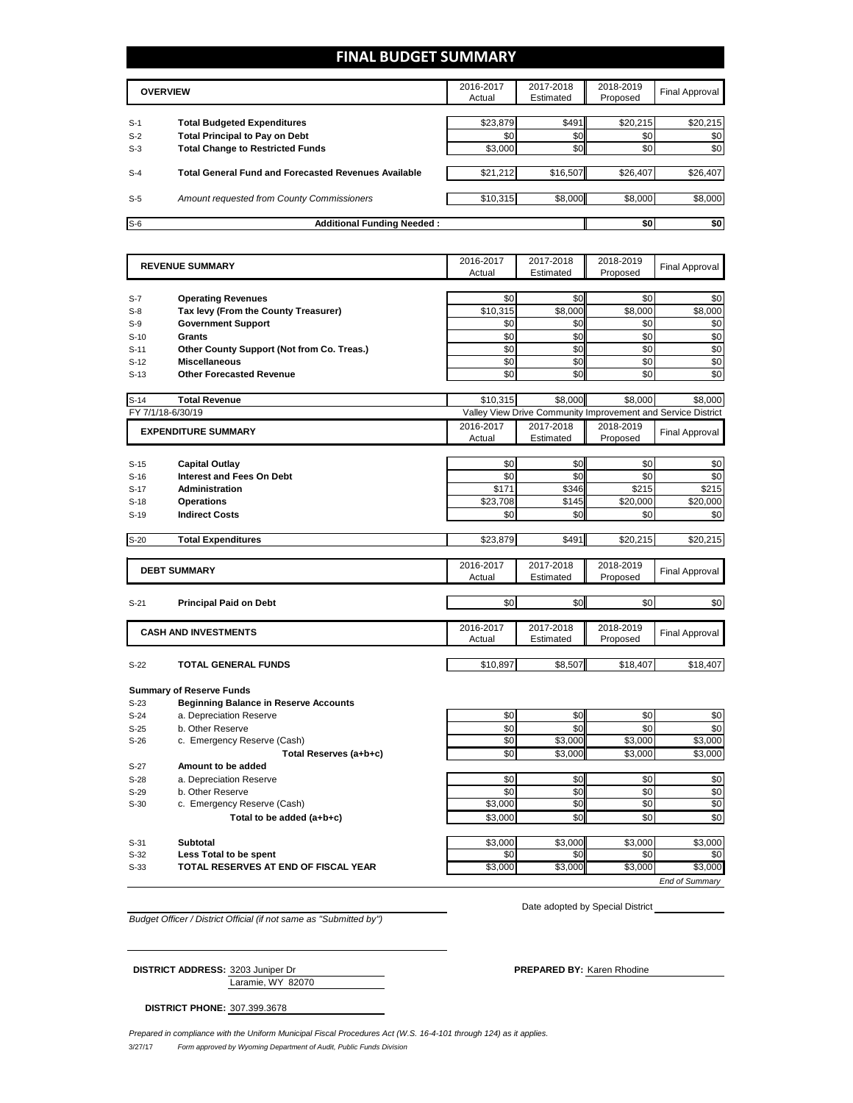## **FINAL BUDGET SUMMARY**

|                | <b>OVERVIEW</b>                                                             |                 | 2017-2018<br>Estimated | 2018-2019<br>Proposed        | Final Approval  |
|----------------|-----------------------------------------------------------------------------|-----------------|------------------------|------------------------------|-----------------|
|                |                                                                             |                 | \$491                  |                              |                 |
| $S-1$<br>$S-2$ | <b>Total Budgeted Expenditures</b><br><b>Total Principal to Pay on Debt</b> | \$23,879<br>\$0 | \$0                    | \$20,215<br>\$0 <sub>1</sub> | \$20,215<br>\$0 |
| $S-3$          | <b>Total Change to Restricted Funds</b>                                     | \$3,000         | \$0                    | \$0                          | \$0             |
| $S-4$          | <b>Total General Fund and Forecasted Revenues Available</b>                 | \$21,212        | \$16,507               | \$26,407                     | \$26,407        |
| $S-5$          | <b>Amount requested from County Commissioners</b>                           | \$10,315        | \$8,000                | \$8,000                      | \$8,000         |
| $S-6$          | <b>Additional Funding Needed:</b>                                           |                 |                        | \$0                          | \$0             |

|        | <b>REVENUE SUMMARY</b>                       | 2016-2017 | 2017-2018  | 2018-2019 | <b>Final Approval</b>                                        |
|--------|----------------------------------------------|-----------|------------|-----------|--------------------------------------------------------------|
|        |                                              | Actual    | Estimated  | Proposed  |                                                              |
| $S-7$  | <b>Operating Revenues</b>                    | \$0       | \$0        | \$0       | \$0                                                          |
| $S-8$  | Tax levy (From the County Treasurer)         | \$10,315  | \$8,000    | \$8,000   | \$8,000                                                      |
| $S-9$  | <b>Government Support</b>                    | \$0       | \$0        | \$0       | \$0                                                          |
| $S-10$ | <b>Grants</b>                                | \$0       | \$0        | \$0       | \$0                                                          |
| $S-11$ | Other County Support (Not from Co. Treas.)   | \$0       | \$0        | \$0       | \$0                                                          |
| $S-12$ | <b>Miscellaneous</b>                         | \$0       | \$0        | \$0       | \$0                                                          |
|        | <b>Other Forecasted Revenue</b>              | \$0       | \$0        | \$0       | \$0                                                          |
| $S-13$ |                                              |           |            |           |                                                              |
| $S-14$ | <b>Total Revenue</b>                         | \$10,315  | \$8,000    | \$8,000   | \$8,000                                                      |
|        | FY 7/1/18-6/30/19                            |           |            |           | Valley View Drive Community Improvement and Service District |
|        | <b>EXPENDITURE SUMMARY</b>                   | 2016-2017 | 2017-2018  | 2018-2019 | <b>Final Approval</b>                                        |
|        |                                              | Actual    | Estimated  | Proposed  |                                                              |
|        |                                              |           |            |           |                                                              |
| $S-15$ | <b>Capital Outlay</b>                        | \$0       | \$0<br>\$0 | \$0       | \$0                                                          |
| $S-16$ | <b>Interest and Fees On Debt</b>             | \$0       |            | \$0       | \$0                                                          |
| $S-17$ | <b>Administration</b>                        | \$171     | \$346      | \$215     | \$215                                                        |
| $S-18$ | <b>Operations</b>                            | \$23,708  | \$145      | \$20,000  | \$20,000                                                     |
| $S-19$ | <b>Indirect Costs</b>                        | \$0       | \$0        | \$0       | \$0                                                          |
| $S-20$ | <b>Total Expenditures</b>                    | \$23,879  | \$491      | \$20,215  | \$20,215                                                     |
|        |                                              |           |            |           |                                                              |
|        | <b>DEBT SUMMARY</b>                          | 2016-2017 | 2017-2018  | 2018-2019 | <b>Final Approval</b>                                        |
|        |                                              | Actual    | Estimated  | Proposed  |                                                              |
| $S-21$ | <b>Principal Paid on Debt</b>                | \$0       | \$0        | \$0       | \$0                                                          |
|        |                                              |           |            |           |                                                              |
|        | <b>CASH AND INVESTMENTS</b>                  | 2016-2017 | 2017-2018  | 2018-2019 | <b>Final Approval</b>                                        |
|        |                                              | Actual    | Estimated  | Proposed  |                                                              |
| $S-22$ | <b>TOTAL GENERAL FUNDS</b>                   | \$10,897  | \$8,507    | \$18,407  | \$18,407                                                     |
|        |                                              |           |            |           |                                                              |
|        | <b>Summary of Reserve Funds</b>              |           |            |           |                                                              |
| $S-23$ | <b>Beginning Balance in Reserve Accounts</b> |           |            |           |                                                              |
| $S-24$ | a. Depreciation Reserve                      | \$0       | \$0        | \$0       | \$0                                                          |
| $S-25$ | b. Other Reserve                             | \$0       | \$0        | \$0       | \$0                                                          |
| $S-26$ | c. Emergency Reserve (Cash)                  | \$0       | \$3,000    | \$3,000   | \$3,000                                                      |
|        | Total Reserves (a+b+c)                       | \$0       | \$3,000    | \$3,000   | \$3,000                                                      |
| $S-27$ | Amount to be added                           |           |            |           |                                                              |
| $S-28$ | a. Depreciation Reserve                      | \$0       | \$0        | \$0       | \$0                                                          |
| $S-29$ | b. Other Reserve                             | \$0       | \$0        | \$0       | \$0                                                          |
| $S-30$ | c. Emergency Reserve (Cash)                  | \$3,000   | \$0        | \$0       | \$0                                                          |
|        | Total to be added (a+b+c)                    | \$3.000   | \$0        | \$0       | \$0                                                          |
|        |                                              |           |            |           |                                                              |
| $S-31$ | Subtotal                                     | \$3,000   | \$3,000    | \$3,000   | \$3,000                                                      |
| $S-32$ | Less Total to be spent                       | \$0       | \$0        | \$0       | \$0                                                          |
| $S-33$ | TOTAL RESERVES AT END OF FISCAL YEAR         | \$3,000   | \$3,000    | \$3,000   | \$3,000                                                      |
|        |                                              |           |            |           | <b>End of Summarv</b>                                        |

*Budget Officer / District Official (if not same as "Submitted by")*

Laramie, WY 82070

Date adopted by Special District

**DISTRICT ADDRESS:** 3203 Juniper Dr **PREPARED BY: PREPARED BY:** Karen Rhodine

**DISTRICT PHONE:** 307.399.3678

3/27/17 *Form approved by Wyoming Department of Audit, Public Funds Division Prepared in compliance with the Uniform Municipal Fiscal Procedures Act (W.S. 16-4-101 through 124) as it applies.*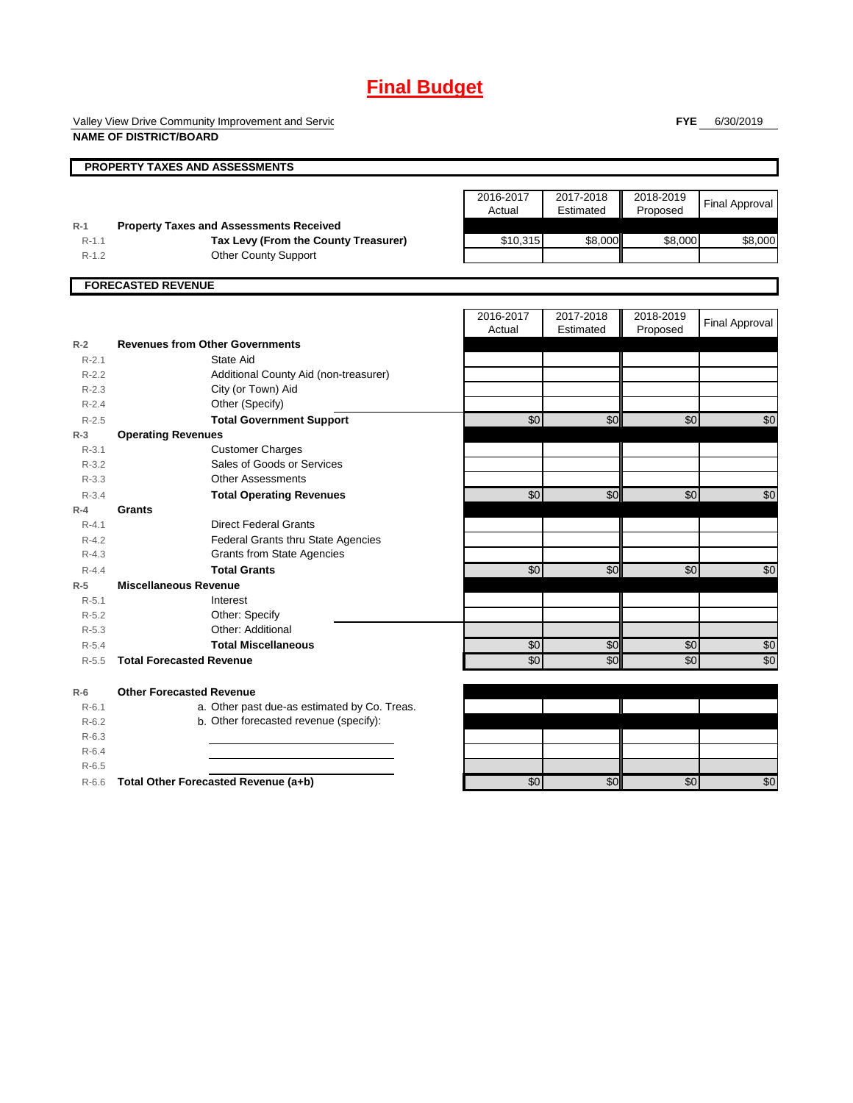# **Final Budget**

Valley View Drive Community Improvement and Servic **NAME OF DISTRICT/BOARD**

**FYE** 6/30/2019

|           | PROPERTY TAXES AND ASSESSMENTS                 |                 |           |                 |                       |
|-----------|------------------------------------------------|-----------------|-----------|-----------------|-----------------------|
|           |                                                |                 |           |                 |                       |
|           |                                                | 2016-2017       | 2017-2018 | 2018-2019       | Final Approval        |
|           |                                                | Actual          | Estimated | Proposed        |                       |
| $R-1$     | <b>Property Taxes and Assessments Received</b> |                 |           |                 |                       |
| $R-1.1$   | Tax Levy (From the County Treasurer)           | \$10,315        | \$8,000   | \$8,000         | \$8,000               |
| $R-1.2$   | <b>Other County Support</b>                    |                 |           |                 |                       |
|           | <b>FORECASTED REVENUE</b>                      |                 |           |                 |                       |
|           |                                                |                 |           |                 |                       |
|           |                                                | 2016-2017       | 2017-2018 | 2018-2019       | <b>Final Approval</b> |
|           |                                                | Actual          | Estimated | Proposed        |                       |
| $R-2$     | <b>Revenues from Other Governments</b>         |                 |           |                 |                       |
| $R-2.1$   | State Aid                                      |                 |           |                 |                       |
| $R - 2.2$ | Additional County Aid (non-treasurer)          |                 |           |                 |                       |
| $R-2.3$   | City (or Town) Aid                             |                 |           |                 |                       |
| $R-2.4$   | Other (Specify)                                |                 |           |                 |                       |
| $R - 2.5$ | <b>Total Government Support</b>                | $\overline{30}$ | \$0       | $\overline{30}$ | \$0                   |
| $R-3$     | <b>Operating Revenues</b>                      |                 |           |                 |                       |
| $R - 3.1$ | <b>Customer Charges</b>                        |                 |           |                 |                       |
| $R - 3.2$ | Sales of Goods or Services                     |                 |           |                 |                       |
| $R - 3.3$ | <b>Other Assessments</b>                       |                 |           |                 |                       |
| $R - 3.4$ | <b>Total Operating Revenues</b>                | $\overline{60}$ | \$0       | \$0             | \$0                   |
| $R-4$     | Grants                                         |                 |           |                 |                       |
| $R - 4.1$ | <b>Direct Federal Grants</b>                   |                 |           |                 |                       |
| $R - 4.2$ | Federal Grants thru State Agencies             |                 |           |                 |                       |
| $R - 4.3$ | <b>Grants from State Agencies</b>              |                 |           |                 |                       |
| $R - 4.4$ | <b>Total Grants</b>                            | \$0             | \$0       | \$0             | \$0                   |
| $R-5$     | <b>Miscellaneous Revenue</b>                   |                 |           |                 |                       |
| $R - 5.1$ | Interest                                       |                 |           |                 |                       |
| $R - 5.2$ | Other: Specify                                 |                 |           |                 |                       |
| $R - 5.3$ | Other: Additional                              |                 |           |                 |                       |
| $R - 5.4$ | <b>Total Miscellaneous</b>                     | $\overline{60}$ | \$0       | \$0             | \$0                   |
| $R-5.5$   | <b>Total Forecasted Revenue</b>                | \$0             | \$0       | \$0             | \$0                   |
| $R-6$     | <b>Other Forecasted Revenue</b>                |                 |           |                 |                       |
| $R - 6.1$ | a. Other past due-as estimated by Co. Treas.   |                 |           |                 |                       |
| $R-6.2$   | b. Other forecasted revenue (specify):         |                 |           |                 |                       |
| $R-6.3$   |                                                |                 |           |                 |                       |
| $R-6.4$   |                                                |                 |           |                 |                       |
| $R-6.5$   |                                                |                 |           |                 |                       |
| $R-6.6$   | Total Other Forecasted Revenue (a+b)           | \$0             | \$0       | \$0             | $\sqrt{6}$            |
|           |                                                |                 |           |                 |                       |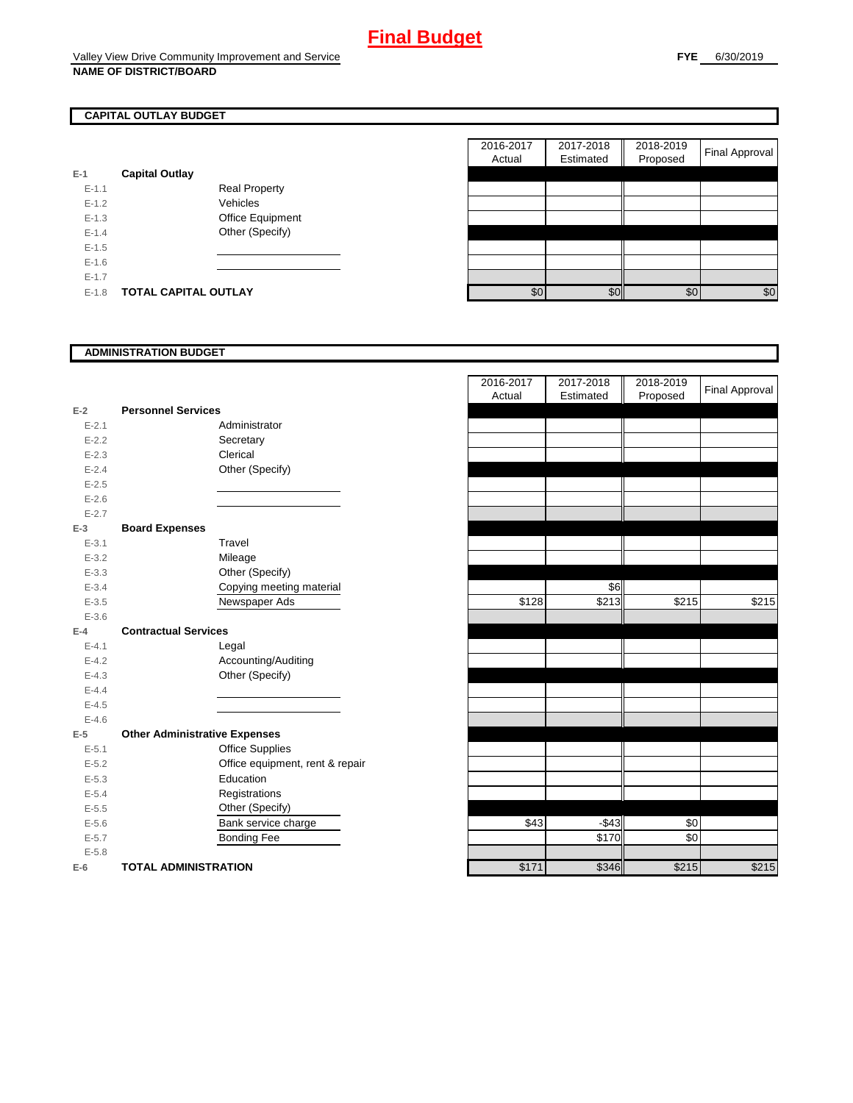## **CAPITAL OUTLAY BUDGET**

| E-1     | <b>Capital Outlay</b> |                         |
|---------|-----------------------|-------------------------|
| $F-11$  |                       | Real Property           |
| $F-12$  |                       | Vehicles                |
| $F-1.3$ |                       | <b>Office Equipment</b> |
| $F-14$  |                       | Other (Specify)         |
| $F-1.5$ |                       |                         |
| $F-16$  |                       |                         |
| $F-17$  |                       |                         |
| F-18    | TOTAL CAPITAL OUTLAY  |                         |

|           |                             |                      | 2016-2017 | 2017-2018 | 2018-2019 | <b>Final Approval</b> |
|-----------|-----------------------------|----------------------|-----------|-----------|-----------|-----------------------|
|           |                             |                      | Actual    | Estimated | Proposed  |                       |
|           | <b>Capital Outlay</b>       |                      |           |           |           |                       |
| $E - 1.1$ |                             | <b>Real Property</b> |           |           |           |                       |
| $E-1.2$   |                             | Vehicles             |           |           |           |                       |
| $E-1.3$   |                             | Office Equipment     |           |           |           |                       |
| $E - 1.4$ |                             | Other (Specify)      |           |           |           |                       |
| $E-1.5$   |                             |                      |           |           |           |                       |
| $E-1.6$   |                             |                      |           |           |           |                       |
| $E - 1.7$ |                             |                      |           |           |           |                       |
| $E-1.8$   | <b>TOTAL CAPITAL OUTLAY</b> |                      | \$0       | \$0       | \$0       | \$0                   |

### **ADMINISTRATION BUDGET**

|           |                                      |                                 | Actual | Esumated | Proposed |
|-----------|--------------------------------------|---------------------------------|--------|----------|----------|
| $E-2$     | <b>Personnel Services</b>            |                                 |        |          |          |
| $E - 2.1$ |                                      | Administrator                   |        |          |          |
| $E-2.2$   |                                      | Secretary                       |        |          |          |
| $E - 2.3$ |                                      | Clerical                        |        |          |          |
| $E-2.4$   |                                      | Other (Specify)                 |        |          |          |
| $E - 2.5$ |                                      |                                 |        |          |          |
| $E-2.6$   |                                      |                                 |        |          |          |
| $E - 2.7$ |                                      |                                 |        |          |          |
| $E-3$     | <b>Board Expenses</b>                |                                 |        |          |          |
| $E - 3.1$ |                                      | Travel                          |        |          |          |
| $E - 3.2$ |                                      | Mileage                         |        |          |          |
| $E - 3.3$ |                                      | Other (Specify)                 |        |          |          |
| $E - 3.4$ |                                      | Copying meeting material        |        | \$6      |          |
| $E - 3.5$ |                                      | Newspaper Ads                   | \$128  | \$213    | \$215    |
| $E - 3.6$ |                                      |                                 |        |          |          |
| $E-4$     | <b>Contractual Services</b>          |                                 |        |          |          |
| $E - 4.1$ |                                      | Legal                           |        |          |          |
| $E - 4.2$ |                                      | Accounting/Auditing             |        |          |          |
| $E - 4.3$ |                                      | Other (Specify)                 |        |          |          |
| $E-4.4$   |                                      |                                 |        |          |          |
| $E-4.5$   |                                      |                                 |        |          |          |
| $E - 4.6$ |                                      |                                 |        |          |          |
| $E-5$     | <b>Other Administrative Expenses</b> |                                 |        |          |          |
| $E - 5.1$ |                                      | <b>Office Supplies</b>          |        |          |          |
| $E - 5.2$ |                                      | Office equipment, rent & repair |        |          |          |
| $E-5.3$   |                                      | Education                       |        |          |          |
| $E - 5.4$ |                                      | Registrations                   |        |          |          |
| $E - 5.5$ |                                      | Other (Specify)                 |        |          |          |
| $E-5.6$   |                                      | Bank service charge             | \$43   | $-$43$   | \$0      |
| $E - 5.7$ |                                      | <b>Bonding Fee</b>              |        | \$170    | \$0      |
| $E - 5.8$ |                                      |                                 |        |          |          |
| $E-6$     | <b>TOTAL ADMINISTRATION</b>          |                                 | \$171  | \$346    | \$215    |

|           |                                      | 2016-2017<br>Actual | 2017-2018<br>Estimated | 2018-2019<br>Proposed | <b>Final Approval</b> |
|-----------|--------------------------------------|---------------------|------------------------|-----------------------|-----------------------|
| Ż         | <b>Personnel Services</b>            |                     |                        |                       |                       |
| $E - 2.1$ | Administrator                        |                     |                        |                       |                       |
| $E - 2.2$ | Secretary                            |                     |                        |                       |                       |
| $E - 2.3$ | Clerical                             |                     |                        |                       |                       |
| $E - 2.4$ | Other (Specify)                      |                     |                        |                       |                       |
| $E - 2.5$ |                                      |                     |                        |                       |                       |
| $E - 2.6$ |                                      |                     |                        |                       |                       |
| $E - 2.7$ |                                      |                     |                        |                       |                       |
| 3         | <b>Board Expenses</b>                |                     |                        |                       |                       |
| $E - 3.1$ | Travel                               |                     |                        |                       |                       |
| $E - 3.2$ | Mileage                              |                     |                        |                       |                       |
| $E - 3.3$ | Other (Specify)                      |                     |                        |                       |                       |
| $E - 3.4$ | Copying meeting material             |                     | \$6                    |                       |                       |
| $E - 3.5$ | Newspaper Ads                        | \$128               | \$213                  | \$215                 | \$215                 |
| $E - 3.6$ |                                      |                     |                        |                       |                       |
| ı.        | <b>Contractual Services</b>          |                     |                        |                       |                       |
| $E - 4.1$ | Legal                                |                     |                        |                       |                       |
| $E - 4.2$ | Accounting/Auditing                  |                     |                        |                       |                       |
| $E - 4.3$ | Other (Specify)                      |                     |                        |                       |                       |
| $E - 4.4$ |                                      |                     |                        |                       |                       |
| $E - 4.5$ |                                      |                     |                        |                       |                       |
| $E - 4.6$ |                                      |                     |                        |                       |                       |
| 5         | <b>Other Administrative Expenses</b> |                     |                        |                       |                       |
| $E - 5.1$ | <b>Office Supplies</b>               |                     |                        |                       |                       |
| $E - 5.2$ | Office equipment, rent & repair      |                     |                        |                       |                       |
| $E - 5.3$ | Education                            |                     |                        |                       |                       |
| $E - 5.4$ | Registrations                        |                     |                        |                       |                       |
| $E - 5.5$ | Other (Specify)                      |                     |                        |                       |                       |
| $E - 5.6$ | Bank service charge                  | \$43                | $-$43$                 | \$0                   |                       |
| $E - 5.7$ | <b>Bonding Fee</b>                   |                     | \$170                  | \$0                   |                       |
| $E - 5.8$ |                                      |                     |                        |                       |                       |
| ì         | <b>TOTAL ADMINISTRATION</b>          | \$171               | \$346                  | \$215                 | \$215                 |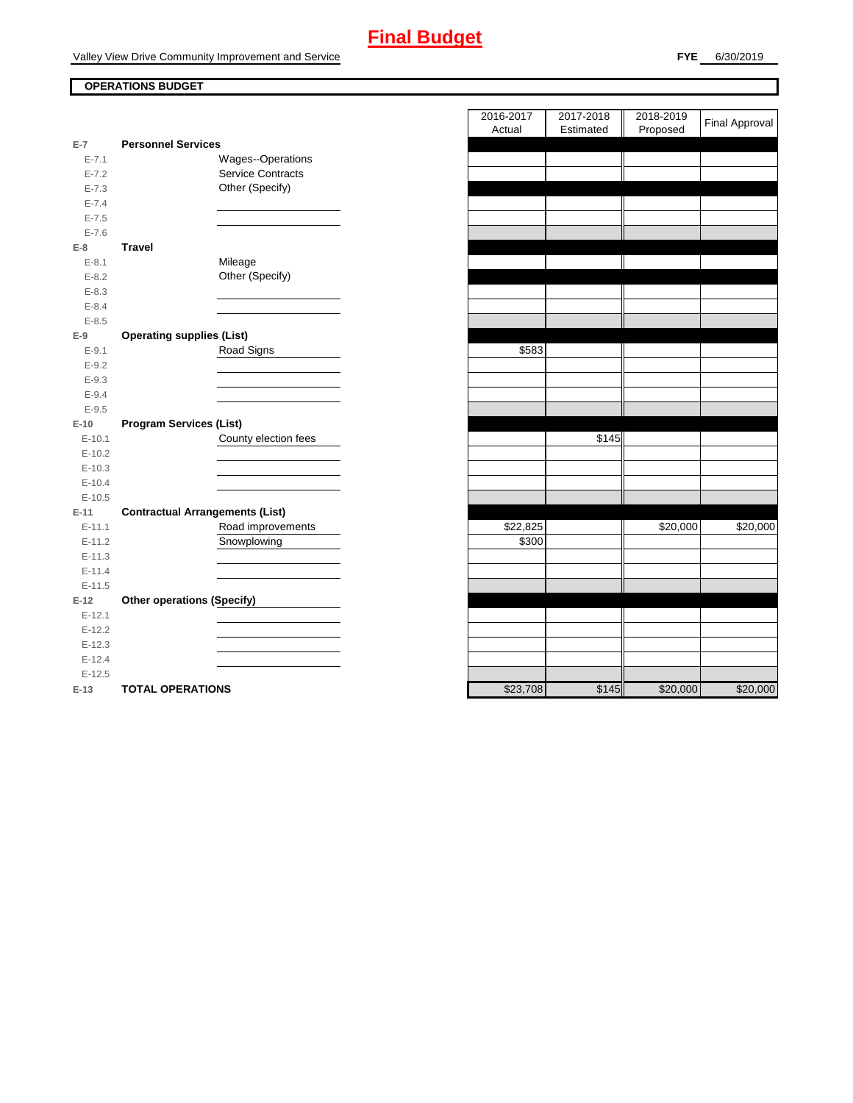# **Final Budget**

Valley View Drive Community Improvement and Service

## **OPERATIONS BUDGET**

|            |                                        | nuuai    | Lournatou |
|------------|----------------------------------------|----------|-----------|
| $E-7$      | <b>Personnel Services</b>              |          |           |
| $E - 7.1$  | Wages--Operations                      |          |           |
| $E - 7.2$  | Service Contracts                      |          |           |
| $E - 7.3$  | Other (Specify)                        |          |           |
| $E - 7.4$  |                                        |          |           |
| $E - 7.5$  |                                        |          |           |
| $E - 7.6$  |                                        |          |           |
| $E-8$      | <b>Travel</b>                          |          |           |
| $E - 8.1$  | Mileage                                |          |           |
| $E - 8.2$  | Other (Specify)                        |          |           |
| $E - 8.3$  |                                        |          |           |
| $E - 8.4$  |                                        |          |           |
| $E - 8.5$  |                                        |          |           |
| $E-9$      | <b>Operating supplies (List)</b>       |          |           |
| $E-9.1$    | Road Signs                             | \$583    |           |
| $E - 9.2$  |                                        |          |           |
| $E - 9.3$  |                                        |          |           |
| $E - 9.4$  |                                        |          |           |
| $E-9.5$    |                                        |          |           |
| $E-10$     | <b>Program Services (List)</b>         |          |           |
| $E-10.1$   | County election fees                   |          | \$145     |
| $E-10.2$   |                                        |          |           |
| $E-10.3$   |                                        |          |           |
| $E-10.4$   |                                        |          |           |
| $E-10.5$   |                                        |          |           |
| $E-11$     | <b>Contractual Arrangements (List)</b> |          |           |
| $E-11.1$   | Road improvements                      | \$22,825 |           |
| $E-11.2$   | Snowplowing                            | \$300    |           |
| $E-11.3$   |                                        |          |           |
| $E - 11.4$ |                                        |          |           |
| $E-11.5$   |                                        |          |           |
| $E-12$     | <b>Other operations (Specify)</b>      |          |           |
| $E-12.1$   |                                        |          |           |
| $E-12.2$   |                                        |          |           |
| $E-12.3$   |                                        |          |           |
| $E-12.4$   |                                        |          |           |
| $E-12.5$   |                                        |          |           |
| $E-13$     | <b>TOTAL OPERATIONS</b>                | \$23,708 | \$145     |

|                |                                        | 2016-2017 | 2017-2018 | 2018-2019 | <b>Final Approval</b> |
|----------------|----------------------------------------|-----------|-----------|-----------|-----------------------|
|                |                                        | Actual    | Estimated | Proposed  |                       |
| $\overline{7}$ | <b>Personnel Services</b>              |           |           |           |                       |
| $E - 7.1$      | Wages--Operations                      |           |           |           |                       |
| $E - 7.2$      | <b>Service Contracts</b>               |           |           |           |                       |
| $E - 7.3$      | Other (Specify)                        |           |           |           |                       |
| $E - 7.4$      |                                        |           |           |           |                       |
| $E - 7.5$      |                                        |           |           |           |                       |
| $E - 7.6$      |                                        |           |           |           |                       |
| 8              | <b>Travel</b>                          |           |           |           |                       |
| $E - 8.1$      | Mileage                                |           |           |           |                       |
| $E - 8.2$      | Other (Specify)                        |           |           |           |                       |
| $E-8.3$        |                                        |           |           |           |                       |
| $E - 8.4$      |                                        |           |           |           |                       |
| $E - 8.5$      |                                        |           |           |           |                       |
| 9              | <b>Operating supplies (List)</b>       |           |           |           |                       |
| $E-9.1$        | Road Signs                             | \$583     |           |           |                       |
| $E - 9.2$      |                                        |           |           |           |                       |
| $E - 9.3$      |                                        |           |           |           |                       |
| $E-9.4$        |                                        |           |           |           |                       |
| $E-9.5$        |                                        |           |           |           |                       |
| 10             | <b>Program Services (List)</b>         |           |           |           |                       |
| $E-10.1$       | County election fees                   |           | \$145     |           |                       |
| $E-10.2$       |                                        |           |           |           |                       |
| $E-10.3$       |                                        |           |           |           |                       |
| $E-10.4$       |                                        |           |           |           |                       |
| $E-10.5$       |                                        |           |           |           |                       |
| 11             | <b>Contractual Arrangements (List)</b> |           |           |           |                       |
| $E-11.1$       | Road improvements                      | \$22,825  |           | \$20,000  | \$20,000              |
| $E-11.2$       | Snowplowing                            | \$300     |           |           |                       |
| $E-11.3$       |                                        |           |           |           |                       |
| $E-11.4$       |                                        |           |           |           |                       |
| $E-11.5$       |                                        |           |           |           |                       |
| 12             | <b>Other operations (Specify)</b>      |           |           |           |                       |
| $E-12.1$       |                                        |           |           |           |                       |
| $E-12.2$       |                                        |           |           |           |                       |
| $E-12.3$       |                                        |           |           |           |                       |
| $E-12.4$       |                                        |           |           |           |                       |
| $E-12.5$       |                                        |           |           |           |                       |
| $-13$          | <b>TOTAL OPERATIONS</b>                | \$23,708  | \$145     | \$20.000  | \$20,000              |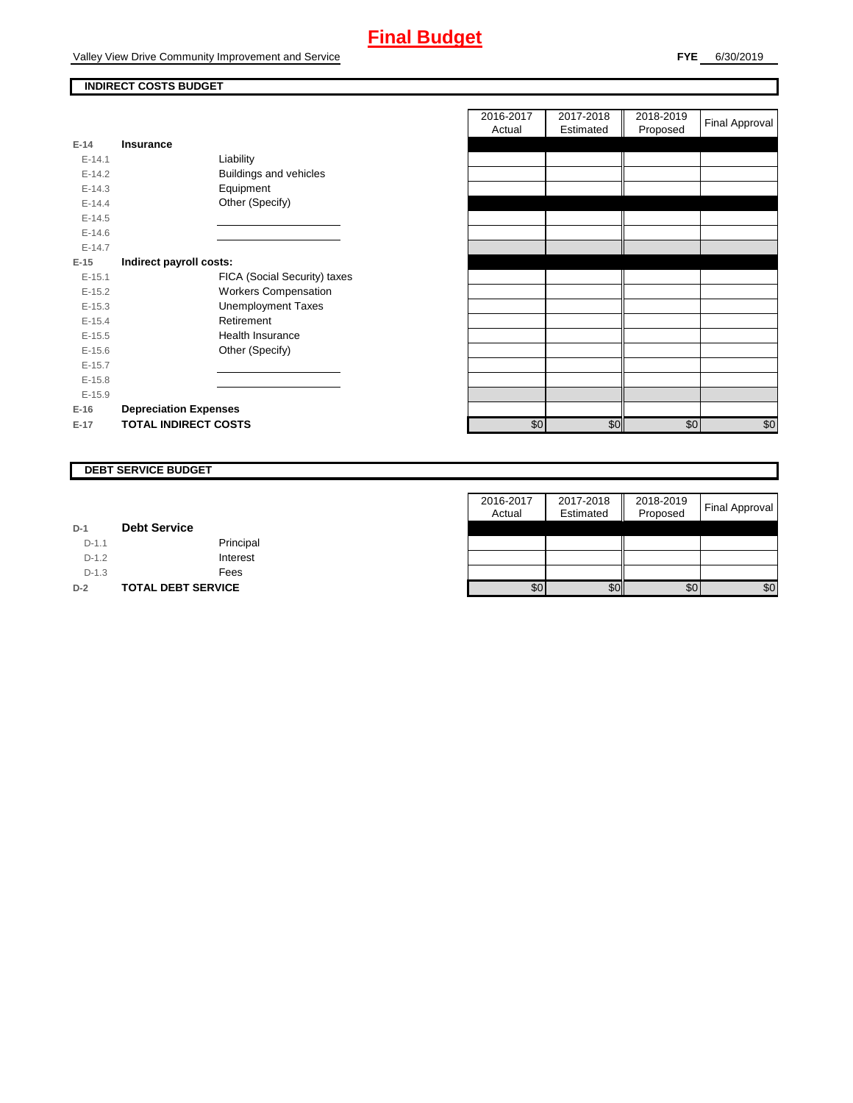# **Final Budget**

Valley View Drive Community Improvement and Service

### **INDIRECT COSTS BUDGET**

| $E-14$     | Insurance                    |
|------------|------------------------------|
| $F-141$    | Liability                    |
| $E-14.2$   | Buildings and vehicles       |
| $F-14.3$   | Equipment                    |
| $F-144$    | Other (Specify)              |
| $E-14.5$   |                              |
| $E - 14.6$ |                              |
| $F-147$    |                              |
| $E-15$     | Indirect payroll costs:      |
| $E-15.1$   | FICA (Social Security) taxes |
| $E-15.2$   | <b>Workers Compensation</b>  |
| $E-15.3$   | <b>Unemployment Taxes</b>    |
| $E-15.4$   | Retirement                   |
| $E-15.5$   | Health Insurance             |
| $E-15.6$   | Other (Specify)              |
| $E-15.7$   |                              |
| $E-15.8$   |                              |
| $E-15.9$   |                              |
| $E-16$     | <b>Depreciation Expenses</b> |
| $E-17$     | <b>TOTAL INDIRECT COSTS</b>  |

|          |                              |                              | 2016-2017<br>Actual | 2017-2018<br>Estimated | 2018-2019<br>Proposed | <b>Final Approval</b> |
|----------|------------------------------|------------------------------|---------------------|------------------------|-----------------------|-----------------------|
| $E-14$   | <b>Insurance</b>             |                              |                     |                        |                       |                       |
| $E-14.1$ | Liability                    |                              |                     |                        |                       |                       |
| $E-14.2$ | Buildings and vehicles       |                              |                     |                        |                       |                       |
| $E-14.3$ | Equipment                    |                              |                     |                        |                       |                       |
| $E-14.4$ | Other (Specify)              |                              |                     |                        |                       |                       |
| $E-14.5$ |                              |                              |                     |                        |                       |                       |
| $E-14.6$ |                              |                              |                     |                        |                       |                       |
| $E-14.7$ |                              |                              |                     |                        |                       |                       |
| $E-15$   | Indirect payroll costs:      |                              |                     |                        |                       |                       |
| $E-15.1$ |                              | FICA (Social Security) taxes |                     |                        |                       |                       |
| $E-15.2$ | <b>Workers Compensation</b>  |                              |                     |                        |                       |                       |
| $E-15.3$ | <b>Unemployment Taxes</b>    |                              |                     |                        |                       |                       |
| $E-15.4$ | Retirement                   |                              |                     |                        |                       |                       |
| $E-15.5$ | Health Insurance             |                              |                     |                        |                       |                       |
| $E-15.6$ | Other (Specify)              |                              |                     |                        |                       |                       |
| $E-15.7$ |                              |                              |                     |                        |                       |                       |
| $E-15.8$ |                              |                              |                     |                        |                       |                       |
| $E-15.9$ |                              |                              |                     |                        |                       |                       |
| E-16     | <b>Depreciation Expenses</b> |                              |                     |                        |                       |                       |
| E-17     | <b>TOTAL INDIRECT COSTS</b>  |                              | \$0                 | \$0                    | \$0                   | \$0                   |
|          |                              |                              |                     |                        |                       |                       |

### **DEBT SERVICE BUDGET**

|         |                           | 2016-2017 | 2017-2018 | 2018-2019 | <b>Final Approval</b> |
|---------|---------------------------|-----------|-----------|-----------|-----------------------|
|         |                           | Actual    | Estimated | Proposed  |                       |
| $D-1$   | <b>Debt Service</b>       |           |           |           |                       |
| $D-1.1$ | Principal                 |           |           |           |                       |
| $D-1.2$ | Interest                  |           |           |           |                       |
| $D-1.3$ | Fees                      |           |           |           |                       |
| $D-2$   | <b>TOTAL DEBT SERVICE</b> | \$0       | \$0       | \$0       | \$0                   |